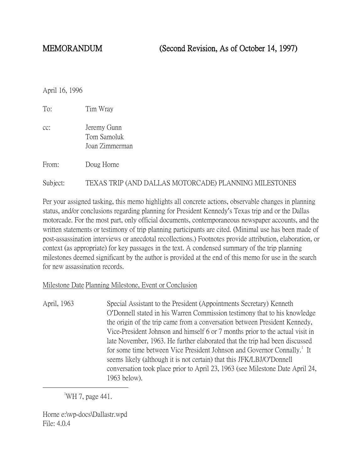April 16, 1996

| To:      | Tim Wray                                              |
|----------|-------------------------------------------------------|
| cc:      | Jeremy Gunn<br>Tom Samoluk<br>Joan Zimmerman          |
| From:    | Doug Horne                                            |
| Subject: | TEXAS TRIP (AND DALLAS MOTORCADE) PLANNING MILESTONES |

Per your assigned tasking, this memo highlights all concrete actions, observable changes in planning status, and/or conclusions regarding planning for President Kennedy's Texas trip and or the Dallas motorcade. For the most part, only official documents, contemporaneous newspaper accounts, and the written statements or testimony of trip planning participants are cited. (Minimal use has been made of post-assassination interviews or anecdotal recollections.) Footnotes provide attribution, elaboration, or context (as appropriate) for key passages in the text. A condensed summary of the trip planning milestones deemed significant by the author is provided at the end of this memo for use in the search for new assassination records.

## Milestone Date Planning Milestone, Event or Conclusion

April, 1963 Special Assistant to the President (Appointments Secretary) Kenneth O'Donnell stated in his Warren Commission testimony that to his knowledge the origin of the trip came from a conversation between President Kennedy, Vice-President Johnson and himself 6 or 7 months prior to the actual visit in late November, 1963. He further elaborated that the trip had been discussed for some time between Vice President Johnson and Governor Connally.<sup>[1](#page-0-0)</sup> It seems likely (although it is not certain) that this JFK/LBJ/O'Donnell conversation took place prior to April 23, 1963 (see Milestone Date April 24, 1963 below).

<span id="page-0-0"></span> $\overline{\phantom{a}}$ WH 7, page 441.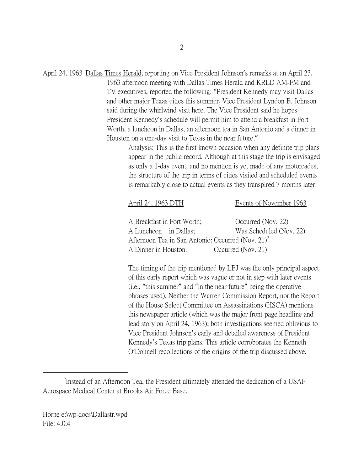April 24, 1963 Dallas Times Herald, reporting on Vice President Johnson's remarks at an April 23,

1963 afternoon meeting with Dallas Times Herald and KRLD AM-FM and TV executives, reported the following: "President Kennedy may visit Dallas and other major Texas cities this summer, Vice President Lyndon B. Johnson said during the whirlwind visit here. The Vice President said he hopes President Kennedy's schedule will permit him to attend a breakfast in Fort Worth, a luncheon in Dallas, an afternoon tea in San Antonio and a dinner in Houston on a one-day visit to Texas in the near future."

> Analysis: This is the first known occasion when any definite trip plans appear in the public record. Although at this stage the trip is envisaged as only a 1-day event, and no mention is yet made of any motorcades, the structure of the trip in terms of cities visited and scheduled events is remarkably close to actual events as they transpired 7 months later:

## April 24, 1963 DTH Events of November 1963

| A Breakfast in Fort Worth;                                    | Occurred (Nov. 22)      |  |
|---------------------------------------------------------------|-------------------------|--|
| A Luncheon in Dallas;                                         | Was Scheduled (Nov. 22) |  |
| Afternoon Tea in San Antonio; Occurred (Nov. 21) <sup>2</sup> |                         |  |
| A Dinner in Houston.                                          | Occurred (Nov. 21)      |  |

The timing of the trip mentioned by LBJ was the only principal aspect of this early report which was vague or not in step with later events (i.e., "this summer" and "in the near future" being the operative phrases used). Neither the Warren Commission Report, nor the Report of the House Select Committee on Assassinations (HSCA) mentions this newspaper article (which was the major front-page headline and lead story on April 24, 1963); both investigations seemed oblivious to Vice President Johnson's early and detailed awareness of President Kennedy's Texas trip plans. This article corroborates the Kenneth O'Donnell recollections of the origins of the trip discussed above.

<span id="page-1-0"></span> $\overline{\phantom{a}}$   $\overline{\phantom{a}}$   $\overline{\phantom{a}}$   $\overline{\phantom{a}}$ <sup>2</sup>Instead of an Afternoon Tea, the President ultimately attended the dedication of a USAF Aerospace Medical Center at Brooks Air Force Base.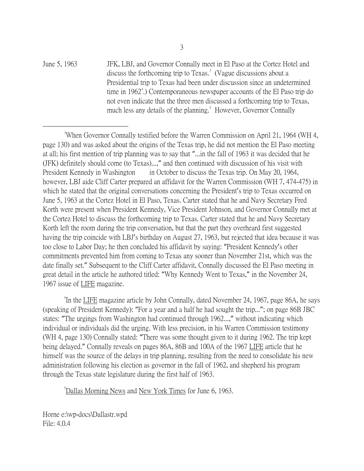June 5, 1963 JFK, LBJ, and Governor Connally meet in El Paso at the Cortez Hotel and discuss the forthcoming trip to Texas.<sup>[3](#page-2-0)</sup> (Vague discussions about a Presidential trip to Texas had been under discussion since an undetermined time in 1962<sup>[4](#page-2-1)</sup>.) Contemporaneous newspaper accounts of the El Paso trip do not even indicate that the three men discussed a forthcoming trip to Texas, much less any details of the planning.<sup>[5](#page-2-2)</sup> However, Governor Connally

<span id="page-2-0"></span> $\frac{1}{3}$ <sup>3</sup>When Governor Connally testified before the Warren Commission on April 21, 1964 (WH 4, page 130) and was asked about the origins of the Texas trip, he did not mention the El Paso meeting at all; his first mention of trip planning was to say that "...in the fall of 1963 it was decided that he (JFK) definitely should come (to Texas)...," and then continued with discussion of his visit with President Kennedy in Washington in October to discuss the Texas trip. On May 20, 1964, however, LBJ aide Cliff Carter prepared an affidavit for the Warren Commission (WH 7, 474-475) in which he stated that the original conversations concerning the President's trip to Texas occurred on June 5, 1963 at the Cortez Hotel in El Paso, Texas. Carter stated that he and Navy Secretary Fred Korth were present when President Kennedy, Vice President Johnson, and Governor Connally met at the Cortez Hotel to discuss the forthcoming trip to Texas. Carter stated that he and Navy Secretary Korth left the room during the trip conversation, but that the part they overheard first suggested having the trip coincide with LBJ's birthday on August 27, 1963, but rejected that idea because it was too close to Labor Day; he then concluded his affidavit by saying: "President Kennedy's other commitments prevented him from coming to Texas any sooner than November 21st, which was the date finally set." Subsequent to the Cliff Carter affidavit, Connally discussed the El Paso meeting in great detail in the article he authored titled: "Why Kennedy Went to Texas," in the November 24, 1967 issue of LIFE magazine.

<span id="page-2-1"></span>4 In the LIFE magazine article by John Connally, dated November 24, 1967, page 86A, he says (speaking of President Kennedy): "For a year and a half he had sought the trip..."; on page 86B JBC states: "The urgings from Washington had continued through 1962...," without indicating which individual or individuals did the urging. With less precision, in his Warren Commission testimony (WH 4, page 130) Connally stated: "There was some thought given to it during 1962. The trip kept being delayed." Connally reveals on pages 86A, 86B and 100A of the 1967 LIFE article that he himself was the source of the delays in trip planning, resulting from the need to consolidate his new administration following his election as governor in the fall of 1962, and shepherd his program through the Texas state legislature during the first half of 1963.

<span id="page-2-2"></span>5 Dallas Morning News and New York Times for June 6, 1963.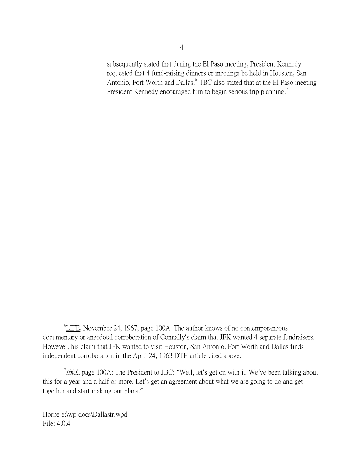subsequently stated that during the El Paso meeting, President Kennedy requested that 4 fund-raising dinners or meetings be held in Houston, San Antonio, Fort Worth and Dallas.<sup>[6](#page-3-0)</sup> JBC also stated that at the El Paso meeting President Kennedy encouraged him to begin serious trip planning.<sup>[7](#page-3-1)</sup>

<span id="page-3-0"></span> $\overline{\phantom{a}}$ LIFE, November 24, 1967, page 100A. The author knows of no contemporaneous documentary or anecdotal corroboration of Connally's claim that JFK wanted 4 separate fundraisers. However, his claim that JFK wanted to visit Houston, San Antonio, Fort Worth and Dallas finds independent corroboration in the April 24, 1963 DTH article cited above.

<span id="page-3-1"></span>*Ibid.*, page 100A: The President to JBC: "Well, let's get on with it. We've been talking about this for a year and a half or more. Let's get an agreement about what we are going to do and get together and start making our plans."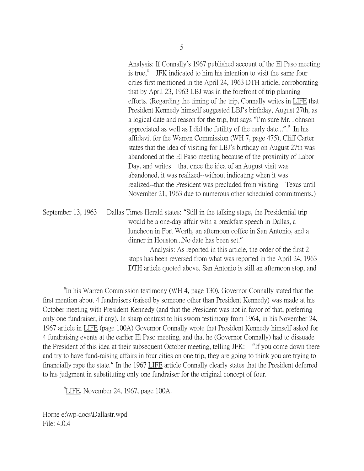Analysis: If Connally's 1967 published account of the El Paso meeting is true, $\delta$  JFK indicated to him his intention to visit the same four cities first mentioned in the April 24, 1963 DTH article, corroborating that by April 23, 1963 LBJ was in the forefront of trip planning efforts. (Regarding the timing of the trip, Connally writes in LIFE that President Kennedy himself suggested LBJ's birthday, August 27th, as a logical date and reason for the trip, but says "I'm sure Mr. Johnson appreciated as well as I did the futility of the early date...". In his affidavit for the Warren Commission (WH 7, page 475), Cliff Carter states that the idea of visiting for LBJ's birthday on August 27th was abandoned at the El Paso meeting because of the proximity of Labor Day, and writes that once the idea of an August visit was abandoned, it was realized--without indicating when it was realized--that the President was precluded from visiting Texas until November 21, 1963 due to numerous other scheduled commitments.)

September 13, 1963 Dallas Times Herald states: "Still in the talking stage, the Presidential trip would be a one-day affair with a breakfast speech in Dallas, a luncheon in Fort Worth, an afternoon coffee in San Antonio, and a dinner in Houston...No date has been set."

Analysis: As reported in this article, the order of the first 2 stops has been reversed from what was reported in the April 24, 1963 DTH article quoted above. San Antonio is still an afternoon stop, and

<span id="page-4-1"></span>9 LIFE, November 24, 1967, page 100A.

<span id="page-4-0"></span> <sup>8</sup> <sup>8</sup>In his Warren Commission testimony (WH 4, page 130), Governor Connally stated that the first mention about 4 fundraisers (raised by someone other than President Kennedy) was made at his October meeting with President Kennedy (and that the President was not in favor of that, preferring only one fundraiser, if any). In sharp contrast to his sworn testimony from 1964, in his November 24, 1967 article in LIFE (page 100A) Governor Connally wrote that President Kennedy himself asked for 4 fundraising events at the earlier El Paso meeting, and that he (Governor Connally) had to dissuade the President of this idea at their subsequent October meeting, telling JFK: "If you come down there and try to have fund-raising affairs in four cities on one trip, they are going to think you are trying to financially rape the state." In the 1967 LIFE article Connally clearly states that the President deferred to his judgment in substituting only one fundraiser for the original concept of four.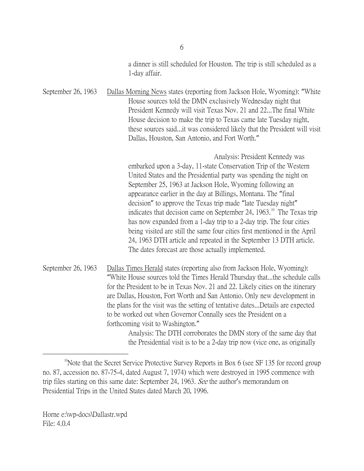a dinner is still scheduled for Houston. The trip is still scheduled as a 1-day affair.

September 26, 1963 Dallas Morning News states (reporting from Jackson Hole, Wyoming): "White House sources told the DMN exclusively Wednesday night that President Kennedy will visit Texas Nov. 21 and 22...The final White House decision to make the trip to Texas came late Tuesday night, these sources said...it was considered likely that the President will visit Dallas, Houston, San Antonio, and Fort Worth."

> Analysis: President Kennedy was embarked upon a 3-day, 11-state Conservation Trip of the Western United States and the Presidential party was spending the night on September 25, 1963 at Jackson Hole, Wyoming following an appearance earlier in the day at Billings, Montana. The "final decision" to approve the Texas trip made "late Tuesday night" indicates that decision came on September 24,  $1963$ .<sup>[10](#page-5-0)</sup> The Texas trip has now expanded from a 1-day trip to a 2-day trip. The four cities being visited are still the same four cities first mentioned in the April 24, 1963 DTH article and repeated in the September 13 DTH article. The dates forecast are those actually implemented.

the Presidential visit is to be a 2-day trip now (vice one, as originally

September 26, 1963 Dallas Times Herald states (reporting also from Jackson Hole, Wyoming): "White House sources told the Times Herald Thursday that...the schedule calls for the President to be in Texas Nov. 21 and 22. Likely cities on the itinerary are Dallas, Houston, Fort Worth and San Antonio. Only new development in the plans for the visit was the setting of tentative dates...Details are expected to be worked out when Governor Connally sees the President on a forthcoming visit to Washington." Analysis: The DTH corroborates the DMN story of the same day that

<span id="page-5-0"></span> $10$ Note that the Secret Service Protective Survey Reports in Box 6 (see SF 135 for record group no. 87, accession no. 87-75-4, dated August 7, 1974) which were destroyed in 1995 commence with trip files starting on this same date: September 24, 1963. See the author's memorandum on Presidential Trips in the United States dated March 20, 1996.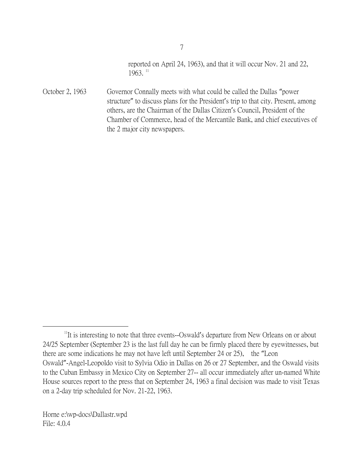reported on April 24, 1963), and that it will occur Nov. 21 and 22,  $1963.$ <sup>[11](#page-6-0)</sup>

October 2, 1963 Governor Connally meets with what could be called the Dallas "power structure" to discuss plans for the President's trip to that city. Present, among others, are the Chairman of the Dallas Citizen's Council, President of the Chamber of Commerce, head of the Mercantile Bank, and chief executives of the 2 major city newspapers.

<span id="page-6-0"></span><sup>&</sup>lt;sup>11</sup>It is interesting to note that three events--Oswald's departure from New Orleans on or about 24/25 September (September 23 is the last full day he can be firmly placed there by eyewitnesses, but there are some indications he may not have left until September 24 or 25), the "Leon Oswald"-Angel-Leopoldo visit to Sylvia Odio in Dallas on 26 or 27 September, and the Oswald visits to the Cuban Embassy in Mexico City on September 27-- all occur immediately after un-named White House sources report to the press that on September 24, 1963 a final decision was made to visit Texas on a 2-day trip scheduled for Nov. 21-22, 1963.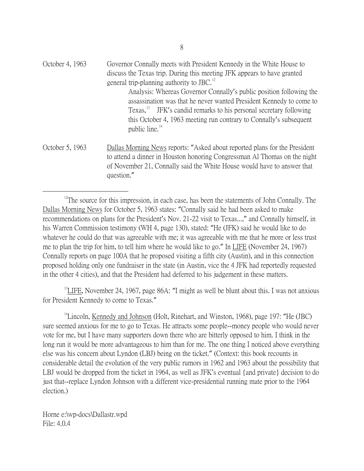| October 4, 1963 | Governor Connally meets with President Kennedy in the White House to                             |
|-----------------|--------------------------------------------------------------------------------------------------|
|                 | discuss the Texas trip. During this meeting JFK appears to have granted                          |
|                 | general trip-planning authority to JBC. $^{12}$                                                  |
|                 | Analysis: Whereas Governor Connally's public position following the                              |
|                 | assassination was that he never wanted President Kennedy to come to                              |
|                 | Texas, <sup>13</sup> JFK's candid remarks to his personal secretary following                    |
|                 | this October 4, 1963 meeting run contrary to Connally's subsequent<br>public line. <sup>14</sup> |
| October 5, 1963 | Dallas Morning News reports: "Asked about reported plans for the President                       |
|                 | to attend a dinner in Houston honoring Congressman Al Thomas on the night                        |
|                 | of November 21, Connally said the White House would have to answer that                          |

question."

<span id="page-7-0"></span><sup>12</sup>The source for this impression, in each case, has been the statements of John Connally. The Dallas Morning News for October 5, 1963 states: "Connally said he had been asked to make recommendations on plans for the President's Nov. 21-22 visit to Texas...," and Connally himself, in his Warren Commission testimony (WH 4, page 130), stated: "He (JFK) said he would like to do whatever he could do that was agreeable with me; it was agreeable with me that he more or less trust me to plan the trip for him, to tell him where he would like to go." In LIFE (November 24, 1967) Connally reports on page 100A that he proposed visiting a fifth city (Austin), and in this connection proposed holding only one fundraiser in the state (in Austin, vice the 4 JFK had reportedly requested in the other 4 cities), and that the President had deferred to his judgement in these matters.

<span id="page-7-1"></span> $13$ LIFE, November 24, 1967, page 86A: "I might as well be blunt about this. I was not anxious for President Kennedy to come to Texas."

<span id="page-7-2"></span> $14$ Lincoln, Kennedy and Johnson (Holt, Rinehart, and Winston, 1968), page 197: "He (JBC) sure seemed anxious for me to go to Texas. He attracts some people--money people who would never vote for me, but I have many supporters down there who are bitterly opposed to him. I think in the long run it would be more advantageous to him than for me. The one thing I noticed above everything else was his concern about Lyndon (LBJ) being on the ticket." (Context: this book recounts in considerable detail the evolution of the very public rumors in 1962 and 1963 about the possibility that LBJ would be dropped from the ticket in 1964, as well as JFK's eventual {and private} decision to do just that--replace Lyndon Johnson with a different vice-presidential running mate prior to the 1964 election.)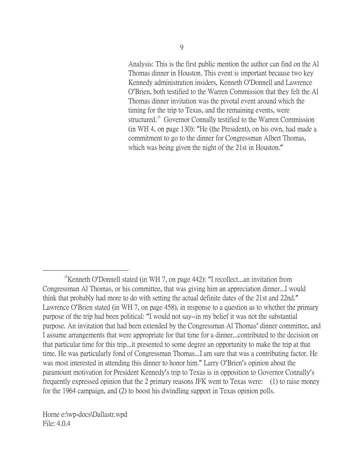Analysis: This is the first public mention the author can find on the Al Thomas dinner in Houston. This event is important because two key Kennedy administration insiders, Kenneth O'Donnell and Lawrence O'Brien, both testified to the Warren Commission that they felt the Al Thomas dinner invitation was the pivotal event around which the timing for the trip to Texas, and the remaining events, were structured.<sup>[15](#page-8-0)</sup> Governor Connally testified to the Warren Commission (in WH 4, on page 130): "He (the President), on his own, had made a commitment to go to the dinner for Congressman Albert Thomas, which was being given the night of the 21st in Houston."

<span id="page-8-0"></span><sup>&</sup>lt;sup>15</sup>Kenneth O'Donnell stated (in WH 7, on page 442): "I recollect...an invitation from Congressman Al Thomas, or his committee, that was giving him an appreciation dinner...I would think that probably had more to do with setting the actual definite dates of the 21st and 22nd." Lawrence O'Brien stated (in WH 7, on page 458), in response to a question as to whether the primary purpose of the trip had been political: "I would not say--in my belief it was not the substantial purpose. An invitation that had been extended by the Congressman Al Thomas' dinner committee, and I assume arrangements that were appropriate for that time for a dinner...contributed to the decision on that particular time for this trip...it presented to some degree an opportunity to make the trip at that time. He was particularly fond of Congressman Thomas...I am sure that was a contributing factor. He was most interested in attending this dinner to honor him." Larry O'Brien's opinion about the paramount motivation for President Kennedy's trip to Texas is in opposition to Governor Connally's frequently expressed opinion that the 2 primary reasons JFK went to Texas were: (1) to raise money for the 1964 campaign, and (2) to boost his dwindling support in Texas opinion polls.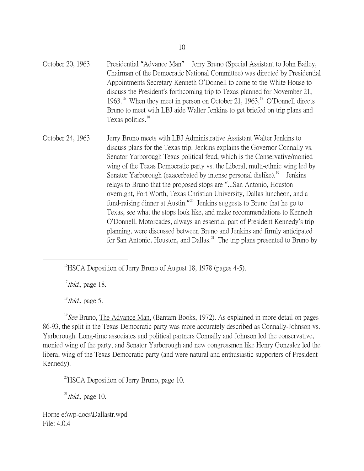October 20, 1963 Presidential "Advance Man" Jerry Bruno (Special Assistant to John Bailey, Chairman of the Democratic National Committee) was directed by Presidential Appointments Secretary Kenneth O'Donnell to come to the White House to discuss the President's forthcoming trip to Texas planned for November 21, 1963.<sup>[16](#page-9-0)</sup> When they meet in person on October 21, 1963,<sup>[17](#page-9-1)</sup> O'Donnell directs Bruno to meet with LBJ aide Walter Jenkins to get briefed on trip plans and Texas politics.<sup>[18](#page-9-2)</sup>

October 24, 1963 Jerry Bruno meets with LBJ Administrative Assistant Walter Jenkins to discuss plans for the Texas trip. Jenkins explains the Governor Connally vs. Senator Yarborough Texas political feud, which is the Conservative/monied wing of the Texas Democratic party vs. the Liberal, multi-ethnic wing led by Senator Yarborough (exacerbated by intense personal dislike).<sup>[19](#page-9-3)</sup> Jenkins relays to Bruno that the proposed stops are "...San Antonio, Houston overnight, Fort Worth, Texas Christian University, Dallas luncheon, and a fund-raising dinner at Austin."<sup>[20](#page-9-4)</sup> Jenkins suggests to Bruno that he go to Texas, see what the stops look like, and make recommendations to Kenneth O'Donnell. Motorcades, always an essential part of President Kennedy's trip planning, were discussed between Bruno and Jenkins and firmly anticipated for San Antonio, Houston, and Dallas.<sup>[21](#page-9-5)</sup> The trip plans presented to Bruno by

 $17$ *Ibid.*, page 18.

 $18$ *Ibid.*, page 5.

<span id="page-9-3"></span><span id="page-9-2"></span><span id="page-9-1"></span><sup>19</sup> See Bruno, The Advance Man, (Bantam Books, 1972). As explained in more detail on pages 86-93, the split in the Texas Democratic party was more accurately described as Connally-Johnson vs. Yarborough. Long-time associates and political partners Connally and Johnson led the conservative, monied wing of the party, and Senator Yarborough and new congressmen like Henry Gonzalez led the liberal wing of the Texas Democratic party (and were natural and enthusiastic supporters of President Kennedy).

<span id="page-9-4"></span> $^{20}$ HSCA Deposition of Jerry Bruno, page 10.

<span id="page-9-5"></span> $^{21}$ *Ibid.*, page 10.

<span id="page-9-0"></span><sup>&</sup>lt;sup>16</sup>HSCA Deposition of Jerry Bruno of August 18, 1978 (pages 4-5).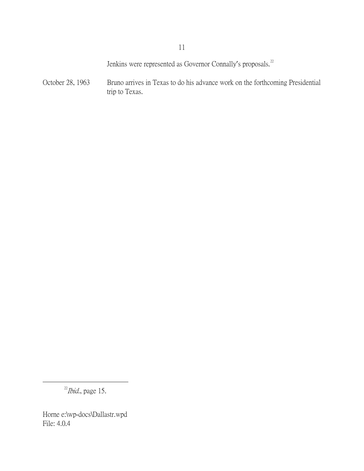Jenkins were represented as Governor Connally's proposals.<sup>[22](#page-10-0)</sup>

October 28, 1963 Bruno arrives in Texas to do his advance work on the forthcoming Presidential trip to Texas.

<span id="page-10-0"></span> $^{22}$ *Ibid.*, page 15.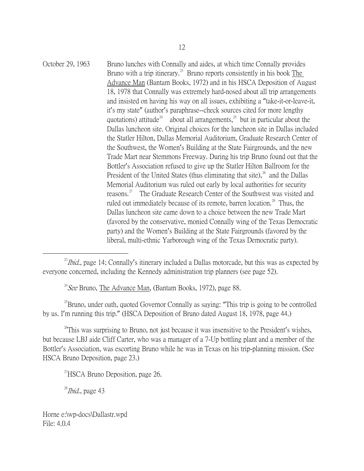October 29, 1963 Bruno lunches with Connally and aides, at which time Connally provides Bruno with a trip itinerary.<sup>[23](#page-11-0)</sup> Bruno reports consistently in his book The Advance Man (Bantam Books, 1972) and in his HSCA Deposition of August 18, 1978 that Connally was extremely hard-nosed about all trip arrangements and insisted on having his way on all issues, exhibiting a "take-it-or-leave-it, it's my state" (author's paraphrase--check sources cited for more lengthy quotations) attitude<sup>[24](#page-11-1)</sup> about all arrangements,<sup>[25](#page-11-2)</sup> but in particular about the Dallas luncheon site. Original choices for the luncheon site in Dallas included the Statler Hilton, Dallas Memorial Auditorium, Graduate Research Center of the Southwest, the Women's Building at the State Fairgrounds, and the new Trade Mart near Stemmons Freeway. During his trip Bruno found out that the Bottler's Association refused to give up the Statler Hilton Ballroom for the President of the United States (thus eliminating that site), $^{26}$  $^{26}$  $^{26}$  and the Dallas Memorial Auditorium was ruled out early by local authorities for security reasons.<sup>[27](#page-11-4)</sup> The Graduate Research Center of the Southwest was visited and ruled out immediately because of its remote, barren location.<sup>[28](#page-11-5)</sup> Thus, the Dallas luncheon site came down to a choice between the new Trade Mart (favored by the conservative, monied Connally wing of the Texas Democratic party) and the Women's Building at the State Fairgrounds (favored by the liberal, multi-ethnic Yarborough wing of the Texas Democratic party).

 $^{24}$  See Bruno, The Advance Man, (Bantam Books, 1972), page 88.

<span id="page-11-2"></span><span id="page-11-1"></span> $25$ Bruno, under oath, quoted Governor Connally as saying: "This trip is going to be controlled by us. I'm running this trip." (HSCA Deposition of Bruno dated August 18, 1978, page 44.)

<span id="page-11-4"></span><span id="page-11-3"></span> $26$ This was surprising to Bruno, not just because it was insensitive to the President's wishes, but because LBJ aide Cliff Carter, who was a manager of a 7-Up bottling plant and a member of the Bottler's Association, was escorting Bruno while he was in Texas on his trip-planning mission. (See HSCA Bruno Deposition, page 23.)

 $^{27}$ HSCA Bruno Deposition, page 26.

<span id="page-11-5"></span> $^{28}$ *Ibid.*, page 43

<span id="page-11-0"></span> $^{23}$ *Ibid.*, page 14; Connally's itinerary included a Dallas motorcade, but this was as expected by everyone concerned, including the Kennedy administration trip planners (see page 52).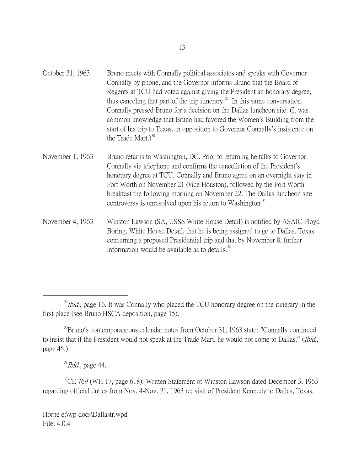| October 31, 1963 | Bruno meets with Connally political associates and speaks with Governor                  |
|------------------|------------------------------------------------------------------------------------------|
|                  | Connally by phone, and the Governor informs Bruno that the Board of                      |
|                  | Regents at TCU had voted against giving the President an honorary degree,                |
|                  | thus canceling that part of the trip itinerary. <sup>29</sup> In this same conversation, |
|                  | Connally pressed Bruno for a decision on the Dallas luncheon site. (It was               |
|                  | common knowledge that Bruno had favored the Women's Building from the                    |
|                  | start of his trip to Texas, in opposition to Governor Connally's insistence on           |
|                  | the Trade Mart.) $^{30}$                                                                 |
|                  |                                                                                          |

November 1, 1963 Bruno returns to Washington, DC. Prior to returning he talks to Governor Connally via telephone and confirms the cancellation of the President's honorary degree at TCU. Connally and Bruno agree on an overnight stay in Fort Worth on November 21 (vice Houston), followed by the Fort Worth breakfast the following morning on November 22. The Dallas luncheon site controversy is unresolved upon his return to Washington.<sup>[31](#page-12-2)</sup>

November 4, 1963 Winston Lawson (SA, USSS White House Detail) is notified by ASAIC Floyd Boring, White House Detail, that he is being assigned to go to Dallas, Texas concerning a proposed Presidential trip and that by November 8, further information would be available as to details. $32$ 

 $31$ *Ibid.*, page 44.

<span id="page-12-3"></span><span id="page-12-2"></span> $^{32}$ CE 769 (WH 17, page 618): Written Statement of Winston Lawson dated December 3, 1963 regarding official duties from Nov. 4-Nov. 21, 1963 re: visit of President Kennedy to Dallas, Texas.

<span id="page-12-0"></span> $^{29}$ *Ibid.*, page 16. It was Connally who placed the TCU honorary degree on the itinerary in the first place (see Bruno HSCA deposition, page 15).

<span id="page-12-1"></span><sup>&</sup>lt;sup>30</sup>Bruno's contemporaneous calendar notes from October 31, 1963 state: "Connally continued to insist that if the President would not speak at the Trade Mart, he would not come to Dallas." (Ibid., page 45.)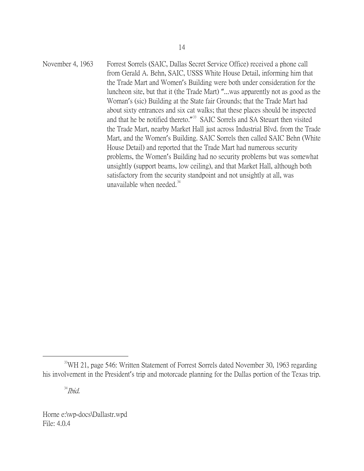November 4, 1963 Forrest Sorrels (SAIC, Dallas Secret Service Office) received a phone call from Gerald A. Behn, SAIC, USSS White House Detail, informing him that the Trade Mart and Women's Building were both under consideration for the luncheon site, but that it (the Trade Mart) "...was apparently not as good as the Woman's (sic) Building at the State fair Grounds; that the Trade Mart had about sixty entrances and six cat walks; that these places should be inspected and that he be notified thereto."<sup>[33](#page-13-0)</sup> SAIC Sorrels and SA Steuart then visited the Trade Mart, nearby Market Hall just across Industrial Blvd. from the Trade Mart, and the Women's Building. SAIC Sorrels then called SAIC Behn (White House Detail) and reported that the Trade Mart had numerous security problems, the Women's Building had no security problems but was somewhat unsightly (support beams, low ceiling), and that Market Hall, although both satisfactory from the security standpoint and not unsightly at all, was unavailable when needed. $34$ 

 $34$ *Ibid.* 

<span id="page-13-1"></span><span id="page-13-0"></span><sup>&</sup>lt;sup>33</sup>WH 21, page 546: Written Statement of Forrest Sorrels dated November 30, 1963 regarding his involvement in the President's trip and motorcade planning for the Dallas portion of the Texas trip.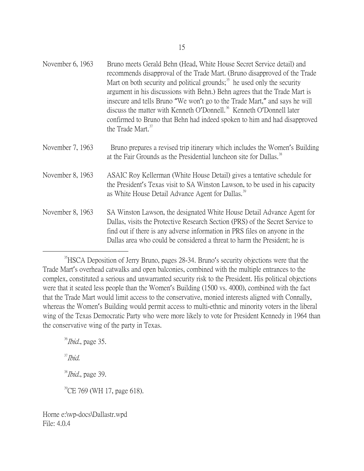| November 6, 1963 | Bruno meets Gerald Behn (Head, White House Secret Service detail) and<br>recommends disapproval of the Trade Mart. (Bruno disapproved of the Trade<br>Mart on both security and political grounds; <sup>35</sup> he used only the security<br>argument in his discussions with Behn.) Behn agrees that the Trade Mart is<br>insecure and tells Bruno "We won't go to the Trade Mart," and says he will<br>discuss the matter with Kenneth O'Donnell. <sup>36</sup> Kenneth O'Donnell later<br>confirmed to Bruno that Behn had indeed spoken to him and had disapproved<br>the Trade Mart. <sup>37</sup> |
|------------------|----------------------------------------------------------------------------------------------------------------------------------------------------------------------------------------------------------------------------------------------------------------------------------------------------------------------------------------------------------------------------------------------------------------------------------------------------------------------------------------------------------------------------------------------------------------------------------------------------------|
| November 7, 1963 | Bruno prepares a revised trip itinerary which includes the Women's Building<br>at the Fair Grounds as the Presidential luncheon site for Dallas. <sup>38</sup>                                                                                                                                                                                                                                                                                                                                                                                                                                           |
| November 8, 1963 | ASAIC Roy Kellerman (White House Detail) gives a tentative schedule for<br>the President's Texas visit to SA Winston Lawson, to be used in his capacity<br>as White House Detail Advance Agent for Dallas. <sup>39</sup>                                                                                                                                                                                                                                                                                                                                                                                 |
| November 8, 1963 | SA Winston Lawson, the designated White House Detail Advance Agent for<br>Dallas, visits the Protective Research Section (PRS) of the Secret Service to<br>find out if there is any adverse information in PRS files on anyone in the<br>Dallas area who could be considered a threat to harm the President; he is                                                                                                                                                                                                                                                                                       |

<span id="page-14-4"></span><span id="page-14-3"></span><span id="page-14-2"></span><span id="page-14-1"></span> $36$ *Ibid.*, page 35.  $37$ *Ibid.*  $38$ *Ibid.*, page 39. <sup>39</sup>CE 769 (WH 17, page 618).

<span id="page-14-0"></span><sup>&</sup>lt;sup>35</sup>HSCA Deposition of Jerry Bruno, pages 28-34. Bruno's security objections were that the Trade Mart's overhead catwalks and open balconies, combined with the multiple entrances to the complex, constituted a serious and unwarranted security risk to the President. His political objections were that it seated less people than the Women's Building (1500 vs. 4000), combined with the fact that the Trade Mart would limit access to the conservative, monied interests aligned with Connally, whereas the Women's Building would permit access to multi-ethnic and minority voters in the liberal wing of the Texas Democratic Party who were more likely to vote for President Kennedy in 1964 than the conservative wing of the party in Texas.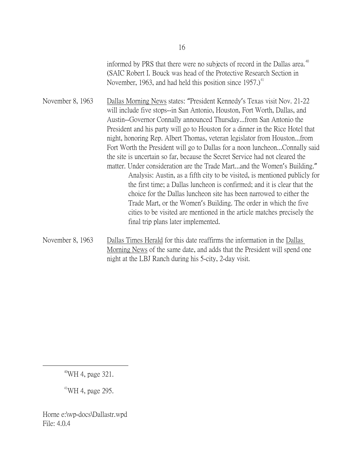informed by PRS that there were no subjects of record in the Dallas area.<sup>[40](#page-15-0)</sup> (SAIC Robert I. Bouck was head of the Protective Research Section in November, 1963, and had held this position since  $1957$ .)<sup>[41](#page-15-1)</sup>

November 8, 1963 Dallas Morning News states: "President Kennedy's Texas visit Nov. 21-22 will include five stops--in San Antonio, Houston, Fort Worth, Dallas, and Austin--Governor Connally announced Thursday...from San Antonio the President and his party will go to Houston for a dinner in the Rice Hotel that night, honoring Rep. Albert Thomas, veteran legislator from Houston...from Fort Worth the President will go to Dallas for a noon luncheon...Connally said the site is uncertain so far, because the Secret Service had not cleared the matter. Under consideration are the Trade Mart...and the Women's Building." Analysis: Austin, as a fifth city to be visited, is mentioned publicly for the first time; a Dallas luncheon is confirmed; and it is clear that the choice for the Dallas luncheon site has been narrowed to either the Trade Mart, or the Women's Building. The order in which the five cities to be visited are mentioned in the article matches precisely the final trip plans later implemented.

November 8, 1963 Dallas Times Herald for this date reaffirms the information in the Dallas Morning News of the same date, and adds that the President will spend one night at the LBJ Ranch during his 5-city, 2-day visit.

<span id="page-15-0"></span>40WH 4, page 321.

<span id="page-15-1"></span> $41$ WH 4, page 295.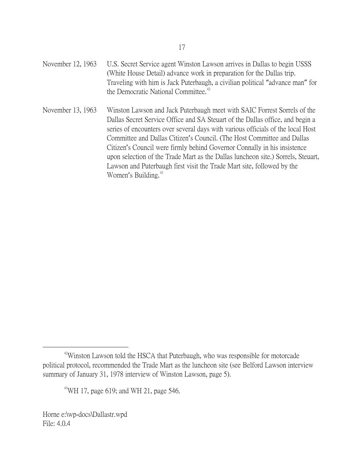November 12, 1963 U.S. Secret Service agent Winston Lawson arrives in Dallas to begin USSS (White House Detail) advance work in preparation for the Dallas trip. Traveling with him is Jack Puterbaugh, a civilian political "advance man" for the Democratic National Committee.<sup>[42](#page-16-0)</sup>

November 13, 1963 Winston Lawson and Jack Puterbaugh meet with SAIC Forrest Sorrels of the Dallas Secret Service Office and SA Steuart of the Dallas office, and begin a series of encounters over several days with various officials of the local Host Committee and Dallas Citizen's Council. (The Host Committee and Dallas Citizen's Council were firmly behind Governor Connally in his insistence upon selection of the Trade Mart as the Dallas luncheon site.) Sorrels, Steuart, Lawson and Puterbaugh first visit the Trade Mart site, followed by the Women's Building.<sup>[43](#page-16-1)</sup>

 $^{43}$ WH 17, page 619; and WH 21, page 546.

<span id="page-16-1"></span><span id="page-16-0"></span><sup>&</sup>lt;sup>42</sup>Winston Lawson told the HSCA that Puterbaugh, who was responsible for motorcade political protocol, recommended the Trade Mart as the luncheon site (see Belford Lawson interview summary of January 31, 1978 interview of Winston Lawson, page 5).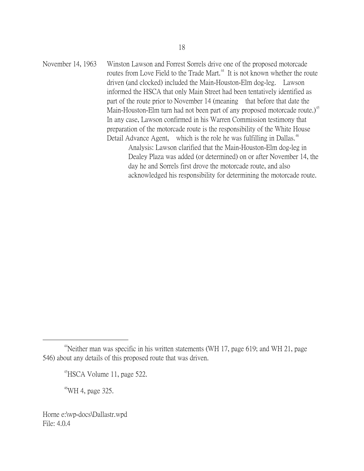November 14, 1963 Winston Lawson and Forrest Sorrels drive one of the proposed motorcade routes from Love Field to the Trade Mart.<sup>[44](#page-17-0)</sup> It is not known whether the route driven (and clocked) included the Main-Houston-Elm dog-leg. Lawson informed the HSCA that only Main Street had been tentatively identified as part of the route prior to November 14 (meaning that before that date the Main-Houston-Elm turn had not been part of any proposed motorcade route.)<sup>[45](#page-17-1)</sup> In any case, Lawson confirmed in his Warren Commission testimony that preparation of the motorcade route is the responsibility of the White House Detail Advance Agent, which is the role he was fulfilling in Dallas.<sup>[46](#page-17-2)</sup> Analysis: Lawson clarified that the Main-Houston-Elm dog-leg in

Dealey Plaza was added (or determined) on or after November 14, the day he and Sorrels first drove the motorcade route, and also acknowledged his responsibility for determining the motorcade route.

 $^{46}$ WH 4, page 325.

<span id="page-17-2"></span><span id="page-17-1"></span><span id="page-17-0"></span> $4$ <sup>4</sup>Neither man was specific in his written statements (WH 17, page 619; and WH 21, page 546) about any details of this proposed route that was driven.

 $^{45}$ HSCA Volume 11, page 522.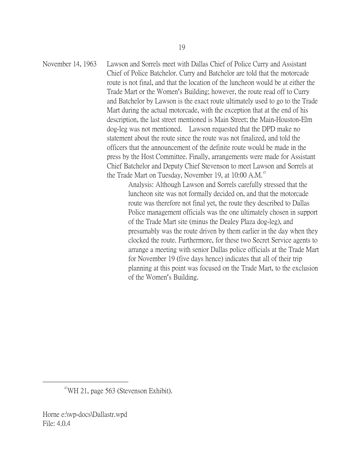November 14, 1963 Lawson and Sorrels meet with Dallas Chief of Police Curry and Assistant Chief of Police Batchelor. Curry and Batchelor are told that the motorcade route is not final, and that the location of the luncheon would be at either the Trade Mart or the Women's Building; however, the route read off to Curry and Batchelor by Lawson is the exact route ultimately used to go to the Trade Mart during the actual motorcade, with the exception that at the end of his description, the last street mentioned is Main Street; the Main-Houston-Elm dog-leg was not mentioned. Lawson requested that the DPD make no statement about the route since the route was not finalized, and told the officers that the announcement of the definite route would be made in the press by the Host Committee. Finally, arrangements were made for Assistant Chief Batchelor and Deputy Chief Stevenson to meet Lawson and Sorrels at the Trade Mart on Tuesday, November 19, at  $10:00$  A.M.<sup>[47](#page-18-0)</sup>

Analysis: Although Lawson and Sorrels carefully stressed that the luncheon site was not formally decided on, and that the motorcade route was therefore not final yet, the route they described to Dallas Police management officials was the one ultimately chosen in support of the Trade Mart site (minus the Dealey Plaza dog-leg), and presumably was the route driven by them earlier in the day when they clocked the route. Furthermore, for these two Secret Service agents to arrange a meeting with senior Dallas police officials at the Trade Mart for November 19 (five days hence) indicates that all of their trip planning at this point was focused on the Trade Mart, to the exclusion of the Women's Building.

<span id="page-18-0"></span> $47$ WH 21, page 563 (Stevenson Exhibit).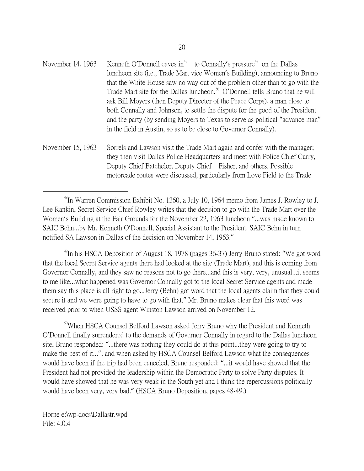- November 14, 1963 Kenneth O'Donnell caves in<sup>[48](#page-19-0)</sup> to Connally's pressure<sup>[49](#page-19-1)</sup> on the Dallas luncheon site (i.e., Trade Mart vice Women's Building), announcing to Bruno that the White House saw no way out of the problem other than to go with the Trade Mart site for the Dallas luncheon.<sup>[50](#page-19-2)</sup> O'Donnell tells Bruno that he will ask Bill Moyers (then Deputy Director of the Peace Corps), a man close to both Connally and Johnson, to settle the dispute for the good of the President and the party (by sending Moyers to Texas to serve as political "advance man" in the field in Austin, so as to be close to Governor Connally).
- November 15, 1963 Sorrels and Lawson visit the Trade Mart again and confer with the manager; they then visit Dallas Police Headquarters and meet with Police Chief Curry, Deputy Chief Batchelor, Deputy Chief Fisher, and others. Possible motorcade routes were discussed, particularly from Love Field to the Trade

<span id="page-19-0"></span><sup>48</sup>In Warren Commission Exhibit No. 1360, a July 10, 1964 memo from James J. Rowley to J. Lee Rankin, Secret Service Chief Rowley writes that the decision to go with the Trade Mart over the Women's Building at the Fair Grounds for the November 22, 1963 luncheon "...was made known to SAIC Behn...by Mr. Kenneth O'Donnell, Special Assistant to the President. SAIC Behn in turn notified SA Lawson in Dallas of the decision on November 14, 1963."

<span id="page-19-1"></span><sup>49</sup>In his HSCA Deposition of August 18, 1978 (pages 36-37) Jerry Bruno stated: "We got word that the local Secret Service agents there had looked at the site (Trade Mart), and this is coming from Governor Connally, and they saw no reasons not to go there...and this is very, very, unusual...it seems to me like...what happened was Governor Connally got to the local Secret Service agents and made them say this place is all right to go...Jerry (Behn) got word that the local agents claim that they could secure it and we were going to have to go with that." Mr. Bruno makes clear that this word was received prior to when USSS agent Winston Lawson arrived on November 12.

<span id="page-19-2"></span><sup>50</sup>When HSCA Counsel Belford Lawson asked Jerry Bruno why the President and Kenneth O'Donnell finally surrendered to the demands of Governor Connally in regard to the Dallas luncheon site, Bruno responded: "...there was nothing they could do at this point...they were going to try to make the best of it..."; and when asked by HSCA Counsel Belford Lawson what the consequences would have been if the trip had been canceled, Bruno responded: "...it would have showed that the President had not provided the leadership within the Democratic Party to solve Party disputes. It would have showed that he was very weak in the South yet and I think the repercussions politically would have been very, very bad." (HSCA Bruno Deposition, pages 48-49.)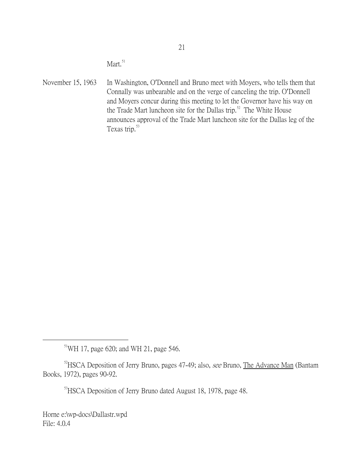Mart.<sup>[51](#page-20-0)</sup>

November 15, 1963 In Washington, O'Donnell and Bruno meet with Moyers, who tells them that Connally was unbearable and on the verge of canceling the trip. O'Donnell and Moyers concur during this meeting to let the Governor have his way on the Trade Mart luncheon site for the Dallas trip.<sup>[52](#page-20-1)</sup> The White House announces approval of the Trade Mart luncheon site for the Dallas leg of the Texas trip.<sup>[53](#page-20-2)</sup>

 $51$ WH 17, page 620; and WH 21, page 546.

<span id="page-20-2"></span><span id="page-20-1"></span><span id="page-20-0"></span> $52$ HSCA Deposition of Jerry Bruno, pages 47-49; also, see Bruno, The Advance Man (Bantam Books, 1972), pages 90-92.

<sup>53</sup>HSCA Deposition of Jerry Bruno dated August 18, 1978, page 48.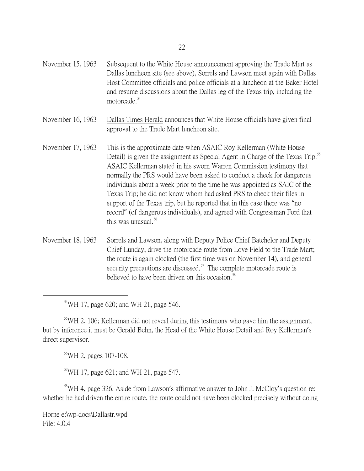| November 15, 1963 | Subsequent to the White House announcement approving the Trade Mart as         |
|-------------------|--------------------------------------------------------------------------------|
|                   | Dallas luncheon site (see above), Sorrels and Lawson meet again with Dallas    |
|                   | Host Committee officials and police officials at a luncheon at the Baker Hotel |
|                   | and resume discussions about the Dallas leg of the Texas trip, including the   |
|                   | motorcade. <sup>54</sup>                                                       |

November 16, 1963 Dallas Times Herald announces that White House officials have given final approval to the Trade Mart luncheon site.

- November 17, 1963 This is the approximate date when ASAIC Roy Kellerman (White House Detail) is given the assignment as Special Agent in Charge of the Texas Trip.<sup>[55](#page-21-1)</sup> ASAIC Kellerman stated in his sworn Warren Commission testimony that normally the PRS would have been asked to conduct a check for dangerous individuals about a week prior to the time he was appointed as SAIC of the Texas Trip; he did not know whom had asked PRS to check their files in support of the Texas trip, but he reported that in this case there was "no record" (of dangerous individuals), and agreed with Congressman Ford that this was unusual. $56$
- November 18, 1963 Sorrels and Lawson, along with Deputy Police Chief Batchelor and Deputy Chief Lunday, drive the motorcade route from Love Field to the Trade Mart; the route is again clocked (the first time was on November 14), and general security precautions are discussed. $57$  The complete motorcade route is believed to have been driven on this occasion.<sup>[58](#page-21-4)</sup>

 $54$ WH 17, page 620; and WH 21, page 546.

<span id="page-21-1"></span><span id="page-21-0"></span><sup>55</sup>WH 2, 106; Kellerman did not reveal during this testimony who gave him the assignment, but by inference it must be Gerald Behn, the Head of the White House Detail and Roy Kellerman's direct supervisor.

56WH 2, pages 107-108.

 $57$ WH 17, page 621; and WH 21, page 547.

<span id="page-21-4"></span><span id="page-21-3"></span><span id="page-21-2"></span><sup>58</sup>WH 4, page 326. Aside from Lawson's affirmative answer to John J. McCloy's question re: whether he had driven the entire route, the route could not have been clocked precisely without doing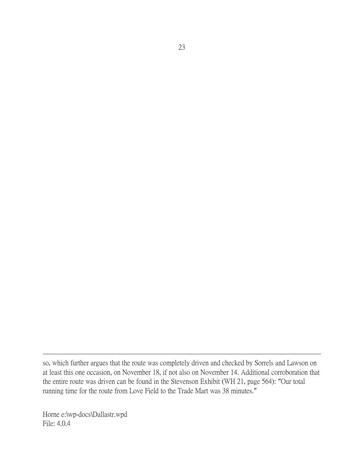Horne e:\wp-docs\Dallastr.wpd File: 4.0.4

 $\overline{a}$ 

so, which further argues that the route was completely driven and checked by Sorrels and Lawson on at least this one occasion, on November 18, if not also on November 14. Additional corroboration that the entire route was driven can be found in the Stevenson Exhibit (WH 21, page 564): "Our total running time for the route from Love Field to the Trade Mart was 38 minutes."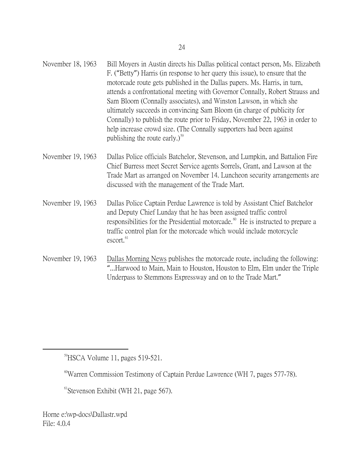| November 18, 1963 | Bill Moyers in Austin directs his Dallas political contact person, Ms. Elizabeth<br>F. ("Betty") Harris (in response to her query this issue), to ensure that the<br>motorcade route gets published in the Dallas papers. Ms. Harris, in turn,<br>attends a confrontational meeting with Governor Connally, Robert Strauss and<br>Sam Bloom (Connally associates), and Winston Lawson, in which she<br>ultimately succeeds in convincing Sam Bloom (in charge of publicity for<br>Connally) to publish the route prior to Friday, November 22, 1963 in order to<br>help increase crowd size. (The Connally supporters had been against<br>publishing the route early.) <sup>59</sup> |
|-------------------|--------------------------------------------------------------------------------------------------------------------------------------------------------------------------------------------------------------------------------------------------------------------------------------------------------------------------------------------------------------------------------------------------------------------------------------------------------------------------------------------------------------------------------------------------------------------------------------------------------------------------------------------------------------------------------------|
| November 19, 1963 | Dallas Police officials Batchelor, Stevenson, and Lumpkin, and Battalion Fire<br>Chief Burress meet Secret Service agents Sorrels, Grant, and Lawson at the<br>Trade Mart as arranged on November 14. Luncheon security arrangements are<br>discussed with the management of the Trade Mart.                                                                                                                                                                                                                                                                                                                                                                                         |

- November 19, 1963 Dallas Police Captain Perdue Lawrence is told by Assistant Chief Batchelor and Deputy Chief Lunday that he has been assigned traffic control responsibilities for the Presidential motorcade. $60$  He is instructed to prepare a traffic control plan for the motorcade which would include motorcycle escort.<sup>[61](#page-23-2)</sup>
- November 19, 1963 Dallas Morning News publishes the motorcade route, including the following: "...Harwood to Main, Main to Houston, Houston to Elm, Elm under the Triple Underpass to Stemmons Expressway and on to the Trade Mart."

<span id="page-23-0"></span>59HSCA Volume 11, pages 519-521.

<span id="page-23-1"></span> $60$ Warren Commission Testimony of Captain Perdue Lawrence (WH 7, pages 577-78).

<span id="page-23-2"></span> $<sup>61</sup>$ Stevenson Exhibit (WH 21, page 567).</sup>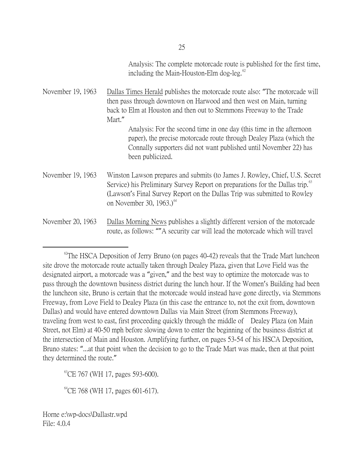Analysis: The complete motorcade route is published for the first time, including the Main-Houston-Elm dog-leg. $\degree$ 

November 19, 1963 Dallas Times Herald publishes the motorcade route also: "The motorcade will then pass through downtown on Harwood and then west on Main, turning back to Elm at Houston and then out to Stemmons Freeway to the Trade Mart." Analysis: For the second time in one day (this time in the afternoon paper), the precise motorcade route through Dealey Plaza (which the Connally supporters did not want published until November 22) has been publicized. November 19, 1963 Winston Lawson prepares and submits (to James J. Rowley, Chief, U.S. Secret Service) his Preliminary Survey Report on preparations for the Dallas trip.<sup>[63](#page-24-1)</sup> (Lawson's Final Survey Report on the Dallas Trip was submitted to Rowley on November 30, 1963.) $<sup>64</sup>$  $<sup>64</sup>$  $<sup>64</sup>$ </sup> November 20, 1963 Dallas Morning News publishes a slightly different version of the motorcade route, as follows: ""A security car will lead the motorcade which will travel

<span id="page-24-1"></span> $^{63}$ CE 767 (WH 17, pages 593-600).

<span id="page-24-2"></span> $^{64}$ CE 768 (WH 17, pages 601-617).

<span id="page-24-0"></span> $^{62}$ The HSCA Deposition of Jerry Bruno (on pages 40-42) reveals that the Trade Mart luncheon site drove the motorcade route actually taken through Dealey Plaza, given that Love Field was the designated airport, a motorcade was a "given," and the best way to optimize the motorcade was to pass through the downtown business district during the lunch hour. If the Women's Building had been the luncheon site, Bruno is certain that the motorcade would instead have gone directly, via Stemmons Freeway, from Love Field to Dealey Plaza (in this case the entrance to, not the exit from, downtown Dallas) and would have entered downtown Dallas via Main Street (from Stemmons Freeway), traveling from west to east, first proceeding quickly through the middle of Dealey Plaza (on Main Street, not Elm) at 40-50 mph before slowing down to enter the beginning of the business district at the intersection of Main and Houston. Amplifying further, on pages 53-54 of his HSCA Deposition, Bruno states: "...at that point when the decision to go to the Trade Mart was made, then at that point they determined the route."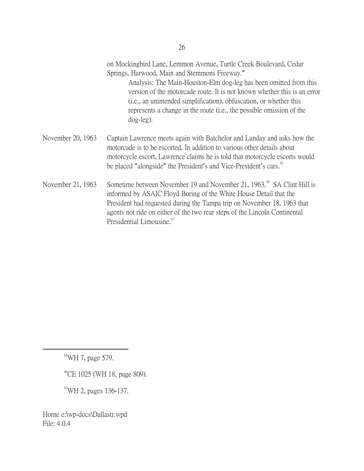| on Mockingbird Lane, Lemmon Avenue, Turtle Creek Boulevard, Cedar |
|-------------------------------------------------------------------|
| Springs, Harwood, Main and Stemmons Freeway."                     |

Analysis: The Main-Houston-Elm dog-leg has been omitted from this version of the motorcade route. It is not known whether this is an error (i.e., an unintended simplification), obfuscation, or whether this represents a change in the route (i.e., the possible omission of the dog-leg).

- November 20, 1963 Captain Lawrence meets again with Batchelor and Lunday and asks how the motorcade is to be escorted. In addition to various other details about motorcycle escort, Lawrence claims he is told that motorcycle escorts would be placed "alongside" the President's and Vice-President's cars.<sup>[65](#page-25-0)</sup>
- November 21, 1963 Sometime between November 19 and November 21, 1963,<sup>[66](#page-25-1)</sup> SA Clint Hill is informed by ASAIC Floyd Boring of the White House Detail that the President had requested during the Tampa trip on November 18, 1963 that agents not ride on either of the two rear steps of the Lincoln Continental Presidential Limousine.<sup>[67](#page-25-2)</sup>

<span id="page-25-0"></span> $65$ WH 7, page 579.

<span id="page-25-1"></span><sup>66</sup>CE 1025 (WH 18, page 809).

<span id="page-25-2"></span>67WH 2, pages 136-137.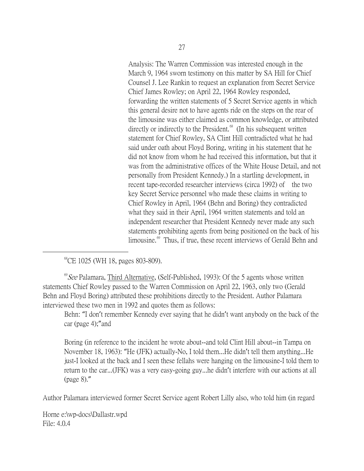Analysis: The Warren Commission was interested enough in the March 9, 1964 sworn testimony on this matter by SA Hill for Chief Counsel J. Lee Rankin to request an explanation from Secret Service Chief James Rowley; on April 22, 1964 Rowley responded, forwarding the written statements of 5 Secret Service agents in which this general desire not to have agents ride on the steps on the rear of the limousine was either claimed as common knowledge, or attributed directly or indirectly to the President. $68$  (In his subsequent written statement for Chief Rowley, SA Clint Hill contradicted what he had said under oath about Floyd Boring, writing in his statement that he did not know from whom he had received this information, but that it was from the administrative offices of the White House Detail, and not personally from President Kennedy.) In a startling development, in recent tape-recorded researcher interviews (circa 1992) of the two key Secret Service personnel who made these claims in writing to Chief Rowley in April, 1964 (Behn and Boring) they contradicted what they said in their April, 1964 written statements and told an independent researcher that President Kennedy never made any such statements prohibiting agents from being positioned on the back of his limousine.<sup>[69](#page-26-1)</sup> Thus, if true, these recent interviews of Gerald Behn and

<sup>68</sup>CE 1025 (WH 18, pages 803-809).

<span id="page-26-1"></span><span id="page-26-0"></span> $^{69}$ See Palamara, Third Alternative, (Self-Published, 1993): Of the 5 agents whose written statements Chief Rowley passed to the Warren Commission on April 22, 1963, only two (Gerald Behn and Floyd Boring) attributed these prohibitions directly to the President. Author Palamara interviewed these two men in 1992 and quotes them as follows:

Behn: "I don't remember Kennedy ever saying that he didn't want anybody on the back of the car (page 4);"and

Boring (in reference to the incident he wrote about--and told Clint Hill about--in Tampa on November 18, 1963): "He (JFK) actually-No, I told them...He didn't tell them anything...He just-I looked at the back and I seen these fellahs were hanging on the limousine-I told them to return to the car...(JFK) was a very easy-going guy...he didn't interfere with our actions at all (page 8)."

Author Palamara interviewed former Secret Service agent Robert Lilly also, who told him (in regard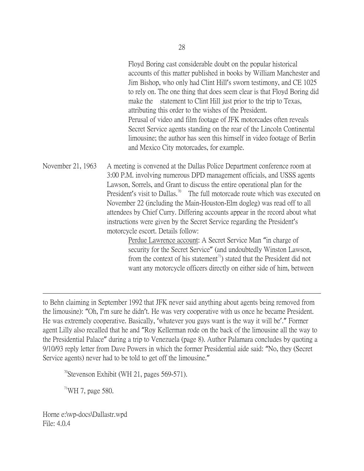Floyd Boring cast considerable doubt on the popular historical accounts of this matter published in books by William Manchester and Jim Bishop, who only had Clint Hill's sworn testimony, and CE 1025 to rely on. The one thing that does seem clear is that Floyd Boring did make the statement to Clint Hill just prior to the trip to Texas, attributing this order to the wishes of the President. Perusal of video and film footage of JFK motorcades often reveals Secret Service agents standing on the rear of the Lincoln Continental limousine; the author has seen this himself in video footage of Berlin and Mexico City motorcades, for example.

November 21, 1963 A meeting is convened at the Dallas Police Department conference room at 3:00 P.M. involving numerous DPD management officials, and USSS agents Lawson, Sorrels, and Grant to discuss the entire operational plan for the President's visit to Dallas.<sup>[70](#page-27-0)</sup> The full motorcade route which was executed on November 22 (including the Main-Houston-Elm dogleg) was read off to all attendees by Chief Curry. Differing accounts appear in the record about what instructions were given by the Secret Service regarding the President's motorcycle escort. Details follow:

> Perdue Lawrence account: A Secret Service Man "in charge of security for the Secret Service" (and undoubtedly Winston Lawson, from the context of his statement<sup> $\eta$ </sup>) stated that the President did not want any motorcycle officers directly on either side of him, between

to Behn claiming in September 1992 that JFK never said anything about agents being removed from the limousine): "Oh, I'm sure he didn't. He was very cooperative with us once he became President. He was extremely cooperative. Basically, 'whatever you guys want is the way it will be'." Former agent Lilly also recalled that he and "Roy Kellerman rode on the back of the limousine all the way to the Presidential Palace" during a trip to Venezuela (page 8). Author Palamara concludes by quoting a 9/10/93 reply letter from Dave Powers in which the former Presidential aide said: "No, they (Secret Service agents) never had to be told to get off the limousine."

<span id="page-27-0"></span><sup>70</sup>Stevenson Exhibit (WH 21, pages 569-571).

<span id="page-27-1"></span> $71$ WH 7, page 580.

 $\overline{a}$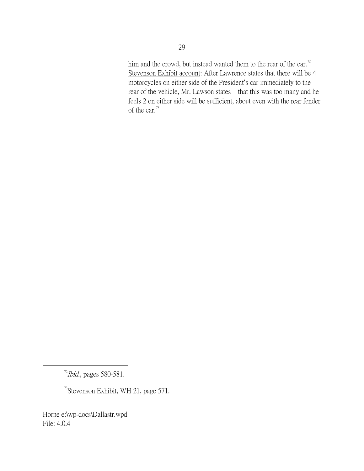him and the crowd, but instead wanted them to the rear of the car.<sup>[72](#page-28-0)</sup> Stevenson Exhibit account: After Lawrence states that there will be 4 motorcycles on either side of the President's car immediately to the rear of the vehicle, Mr. Lawson states that this was too many and he feels 2 on either side will be sufficient, about even with the rear fender of the car.<sup>[73](#page-28-1)</sup>

<span id="page-28-1"></span> $73$ Stevenson Exhibit, WH 21, page 571.

<span id="page-28-0"></span> $^{72}$ *Ibid.*, pages 580-581.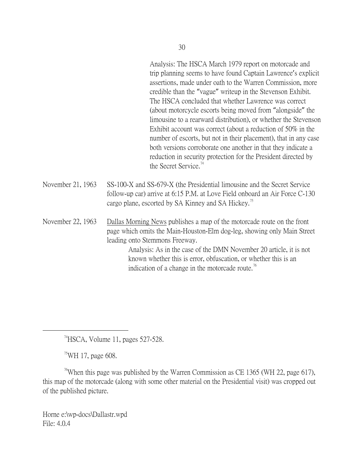Analysis: The HSCA March 1979 report on motorcade and trip planning seems to have found Captain Lawrence's explicit assertions, made under oath to the Warren Commission, more credible than the "vague" writeup in the Stevenson Exhibit. The HSCA concluded that whether Lawrence was correct (about motorcycle escorts being moved from "alongside" the limousine to a rearward distribution), or whether the Stevenson Exhibit account was correct (about a reduction of 50% in the number of escorts, but not in their placement), that in any case both versions corroborate one another in that they indicate a reduction in security protection for the President directed by the Secret Service.<sup>[74](#page-29-0)</sup>

November 21, 1963 SS-100-X and SS-679-X (the Presidential limousine and the Secret Service follow-up car) arrive at 6:15 P.M. at Love Field onboard an Air Force C-130 cargo plane, escorted by SA Kinney and SA Hickey.<sup>[75](#page-29-1)</sup>

November 22, 1963 Dallas Morning News publishes a map of the motorcade route on the front page which omits the Main-Houston-Elm dog-leg, showing only Main Street leading onto Stemmons Freeway. Analysis: As in the case of the DMN November 20 article, it is not

known whether this is error, obfuscation, or whether this is an indication of a change in the motorcade route.<sup>[76](#page-29-2)</sup>

 $74$ HSCA, Volume 11, pages 527-528.

 $^{75}$ WH 17, page 608.

<span id="page-29-2"></span><span id="page-29-1"></span><span id="page-29-0"></span><sup>76</sup>When this page was published by the Warren Commission as CE 1365 (WH 22, page 617), this map of the motorcade (along with some other material on the Presidential visit) was cropped out of the published picture.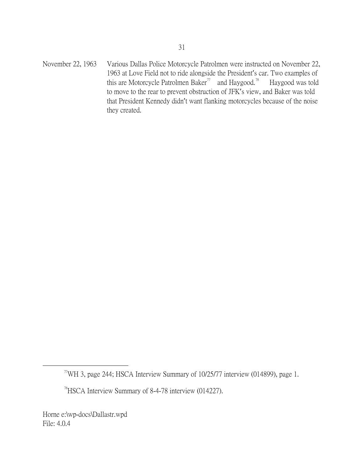November 22, 1963 Various Dallas Police Motorcycle Patrolmen were instructed on November 22, 1963 at Love Field not to ride alongside the President's car. Two examples of this are Motorcycle Patrolmen Baker<sup> $\pi$ </sup> and Haygood.<sup>[78](#page-30-1)</sup> Haygood was told to move to the rear to prevent obstruction of JFK's view, and Baker was told that President Kennedy didn't want flanking motorcycles because of the noise they created.

<span id="page-30-0"></span> $7$ <sup>T</sup>WH 3, page 244; HSCA Interview Summary of 10/25/77 interview (014899), page 1.

<span id="page-30-1"></span><sup>78</sup>HSCA Interview Summary of 8-4-78 interview (014227).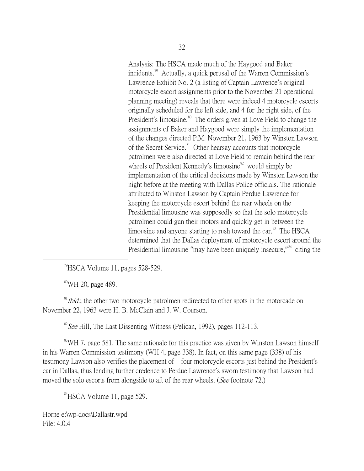Analysis: The HSCA made much of the Haygood and Baker incidents.<sup>[79](#page-31-0)</sup> Actually, a quick perusal of the Warren Commission's Lawrence Exhibit No. 2 (a listing of Captain Lawrence's original motorcycle escort assignments prior to the November 21 operational planning meeting) reveals that there were indeed 4 motorcycle escorts originally scheduled for the left side, and 4 for the right side, of the President's limousine.<sup>[80](#page-31-1)</sup> The orders given at Love Field to change the assignments of Baker and Haygood were simply the implementation of the changes directed P.M. November 21, 1963 by Winston Lawson of the Secret Service.<sup>[81](#page-31-2)</sup> Other hearsay accounts that motorcycle patrolmen were also directed at Love Field to remain behind the rear wheels of President Kennedy's limousine $82$  would simply be implementation of the critical decisions made by Winston Lawson the night before at the meeting with Dallas Police officials. The rationale attributed to Winston Lawson by Captain Perdue Lawrence for keeping the motorcycle escort behind the rear wheels on the Presidential limousine was supposedly so that the solo motorcycle patrolmen could gun their motors and quickly get in between the limousine and anyone starting to rush toward the car.<sup>[83](#page-31-4)</sup> The HSCA determined that the Dallas deployment of motorcycle escort around the Presidential limousine "may have been uniquely insecure,"<sup>[84](#page-31-5)</sup> citing the

 $^{79}$ HSCA Volume 11, pages 528-529.

<sup>80</sup>WH 20, page 489.

<span id="page-31-2"></span><span id="page-31-1"></span><span id="page-31-0"></span> $81$ *Ibid.*; the other two motorcycle patrolmen redirected to other spots in the motorcade on November 22, 1963 were H. B. McClain and J. W. Courson.

<sup>82</sup> See Hill, The Last Dissenting Witness (Pelican, 1992), pages 112-113.

<span id="page-31-4"></span><span id="page-31-3"></span><sup>83</sup>WH 7, page 581. The same rationale for this practice was given by Winston Lawson himself in his Warren Commission testimony (WH 4, page 338). In fact, on this same page (338) of his testimony Lawson also verifies the placement of four motorcycle escorts just behind the President's car in Dallas, thus lending further credence to Perdue Lawrence's sworn testimony that Lawson had moved the solo escorts from alongside to aft of the rear wheels. (See footnote 72.)

<span id="page-31-5"></span><sup>84</sup>HSCA Volume 11, page 529.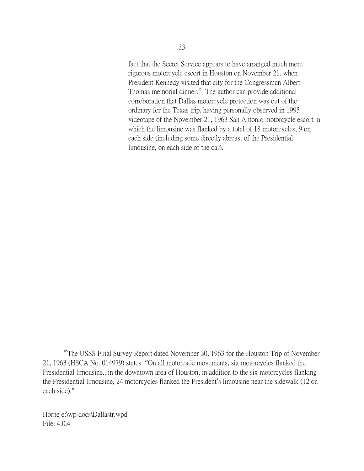fact that the Secret Service appears to have arranged much more rigorous motorcycle escort in Houston on November 21, when President Kennedy visited that city for the Congressman Albert Thomas memorial dinner.<sup>[85](#page-32-0)</sup> The author can provide additional corroboration that Dallas motorcycle protection was out of the ordinary for the Texas trip, having personally observed in 1995 videotape of the November 21, 1963 San Antonio motorcycle escort in which the limousine was flanked by a total of 18 motorcycles, 9 on each side (including some directly abreast of the Presidential limousine, on each side of the car).

<span id="page-32-0"></span><sup>&</sup>lt;sup>85</sup>The USSS Final Survey Report dated November 30, 1963 for the Houston Trip of November 21, 1963 (HSCA No. 014979) states: "On all motorcade movements, six motorcycles flanked the Presidential limousine...in the downtown area of Houston, in addition to the six motorcycles flanking the Presidential limousine, 24 motorcycles flanked the President's limousine near the sidewalk (12 on each side)."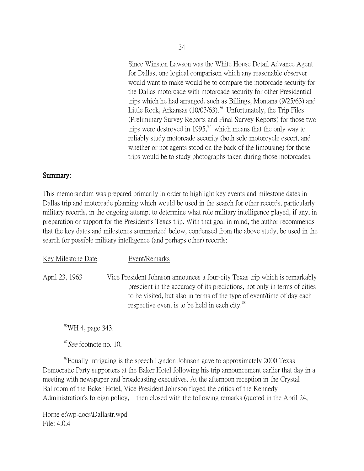Since Winston Lawson was the White House Detail Advance Agent for Dallas, one logical comparison which any reasonable observer would want to make would be to compare the motorcade security for the Dallas motorcade with motorcade security for other Presidential trips which he had arranged, such as Billings, Montana (9/25/63) and Little Rock, Arkansas (10/03/63).<sup>[86](#page-33-0)</sup> Unfortunately, the Trip Files (Preliminary Survey Reports and Final Survey Reports) for those two trips were destroyed in 1995, $\frac{87}{10}$  $\frac{87}{10}$  $\frac{87}{10}$  which means that the only way to reliably study motorcade security (both solo motorcycle escort, and whether or not agents stood on the back of the limousine) for those trips would be to study photographs taken during those motorcades.

## Summary:

This memorandum was prepared primarily in order to highlight key events and milestone dates in Dallas trip and motorcade planning which would be used in the search for other records, particularly military records, in the ongoing attempt to determine what role military intelligence played, if any, in preparation or support for the President's Texas trip. With that goal in mind, the author recommends that the key dates and milestones summarized below, condensed from the above study, be used in the search for possible military intelligence (and perhaps other) records:

| Key Milestone Date | Event/Remarks                                                                                                                                                                                                                                                                                    |
|--------------------|--------------------------------------------------------------------------------------------------------------------------------------------------------------------------------------------------------------------------------------------------------------------------------------------------|
| April 23, 1963     | Vice President Johnson announces a four-city Texas trip which is remarkably<br>prescient in the accuracy of its predictions, not only in terms of cities<br>to be visited, but also in terms of the type of event/time of day each<br>respective event is to be held in each city. <sup>88</sup> |

86WH 4, page 343.

<sup>87</sup>See footnote no. 10.

<span id="page-33-2"></span><span id="page-33-1"></span><span id="page-33-0"></span><sup>88</sup>Equally intriguing is the speech Lyndon Johnson gave to approximately 2000 Texas Democratic Party supporters at the Baker Hotel following his trip announcement earlier that day in a meeting with newspaper and broadcasting executives. At the afternoon reception in the Crystal Ballroom of the Baker Hotel, Vice President Johnson flayed the critics of the Kennedy Administration's foreign policy, then closed with the following remarks (quoted in the April 24,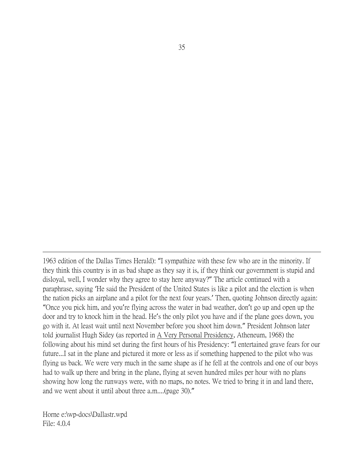1963 edition of the Dallas Times Herald): "I sympathize with these few who are in the minority. If they think this country is in as bad shape as they say it is, if they think our government is stupid and disloyal, well, I wonder why they agree to stay here anyway?" The article continued with a paraphrase, saying 'He said the President of the United States is like a pilot and the election is when the nation picks an airplane and a pilot for the next four years.' Then, quoting Johnson directly again: "Once you pick him, and you're flying across the water in bad weather, don't go up and open up the door and try to knock him in the head. He's the only pilot you have and if the plane goes down, you go with it. At least wait until next November before you shoot him down." President Johnson later told journalist Hugh Sidey (as reported in A Very Personal Presidency, Atheneum, 1968) the following about his mind set during the first hours of his Presidency: "I entertained grave fears for our future...I sat in the plane and pictured it more or less as if something happened to the pilot who was flying us back. We were very much in the same shape as if he fell at the controls and one of our boys had to walk up there and bring in the plane, flying at seven hundred miles per hour with no plans showing how long the runways were, with no maps, no notes. We tried to bring it in and land there, and we went about it until about three a.m....(page 30)."

Horne e:\wp-docs\Dallastr.wpd File: 4.0.4

 $\overline{a}$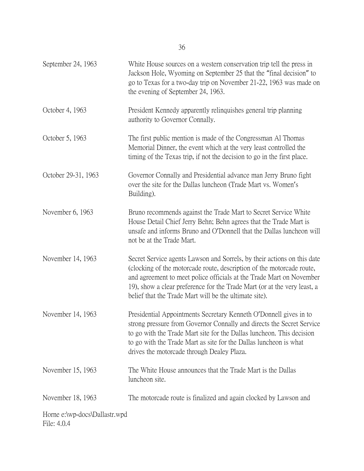| September 24, 1963                           | White House sources on a western conservation trip tell the press in<br>Jackson Hole, Wyoming on September 25 that the "final decision" to<br>go to Texas for a two-day trip on November 21-22, 1963 was made on<br>the evening of September 24, 1963.                                                                                                         |
|----------------------------------------------|----------------------------------------------------------------------------------------------------------------------------------------------------------------------------------------------------------------------------------------------------------------------------------------------------------------------------------------------------------------|
| October 4, 1963                              | President Kennedy apparently relinquishes general trip planning<br>authority to Governor Connally.                                                                                                                                                                                                                                                             |
| October 5, 1963                              | The first public mention is made of the Congressman Al Thomas<br>Memorial Dinner, the event which at the very least controlled the<br>timing of the Texas trip, if not the decision to go in the first place.                                                                                                                                                  |
| October 29-31, 1963                          | Governor Connally and Presidential advance man Jerry Bruno fight<br>over the site for the Dallas luncheon (Trade Mart vs. Women's<br>Building).                                                                                                                                                                                                                |
| November 6, 1963                             | Bruno recommends against the Trade Mart to Secret Service White<br>House Detail Chief Jerry Behn; Behn agrees that the Trade Mart is<br>unsafe and informs Bruno and O'Donnell that the Dallas luncheon will<br>not be at the Trade Mart.                                                                                                                      |
| November 14, 1963                            | Secret Service agents Lawson and Sorrels, by their actions on this date<br>(clocking of the motorcade route, description of the motorcade route,<br>and agreement to meet police officials at the Trade Mart on November<br>19), show a clear preference for the Trade Mart (or at the very least, a<br>belief that the Trade Mart will be the ultimate site). |
| November 14, 1963                            | Presidential Appointments Secretary Kenneth O'Donnell gives in to<br>strong pressure from Governor Connally and directs the Secret Service<br>to go with the Trade Mart site for the Dallas luncheon. This decision<br>to go with the Trade Mart as site for the Dallas luncheon is what<br>drives the motorcade through Dealey Plaza.                         |
| November 15, 1963                            | The White House announces that the Trade Mart is the Dallas<br>luncheon site.                                                                                                                                                                                                                                                                                  |
| November 18, 1963                            | The motorcade route is finalized and again clocked by Lawson and                                                                                                                                                                                                                                                                                               |
| Horne e:\wp-docs\Dallastr.wpd<br>File: 4.0.4 |                                                                                                                                                                                                                                                                                                                                                                |